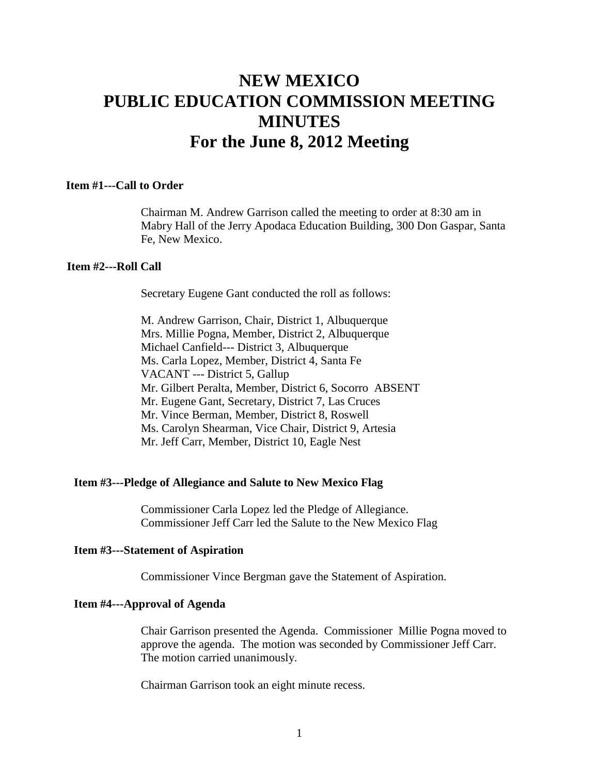# **NEW MEXICO PUBLIC EDUCATION COMMISSION MEETING MINUTES For the June 8, 2012 Meeting**

# **Item #1---Call to Order**

Chairman M. Andrew Garrison called the meeting to order at 8:30 am in Mabry Hall of the Jerry Apodaca Education Building, 300 Don Gaspar, Santa Fe, New Mexico.

#### **Item #2---Roll Call**

Secretary Eugene Gant conducted the roll as follows:

M. Andrew Garrison, Chair, District 1, Albuquerque Mrs. Millie Pogna, Member, District 2, Albuquerque Michael Canfield--- District 3, Albuquerque Ms. Carla Lopez, Member, District 4, Santa Fe VACANT --- District 5, Gallup Mr. Gilbert Peralta, Member, District 6, Socorro ABSENT Mr. Eugene Gant, Secretary, District 7, Las Cruces Mr. Vince Berman, Member, District 8, Roswell Ms. Carolyn Shearman, Vice Chair, District 9, Artesia Mr. Jeff Carr, Member, District 10, Eagle Nest

# **Item #3---Pledge of Allegiance and Salute to New Mexico Flag**

Commissioner Carla Lopez led the Pledge of Allegiance. Commissioner Jeff Carr led the Salute to the New Mexico Flag

#### **Item #3---Statement of Aspiration**

Commissioner Vince Bergman gave the Statement of Aspiration.

#### **Item #4---Approval of Agenda**

Chair Garrison presented the Agenda. Commissioner Millie Pogna moved to approve the agenda. The motion was seconded by Commissioner Jeff Carr. The motion carried unanimously.

Chairman Garrison took an eight minute recess.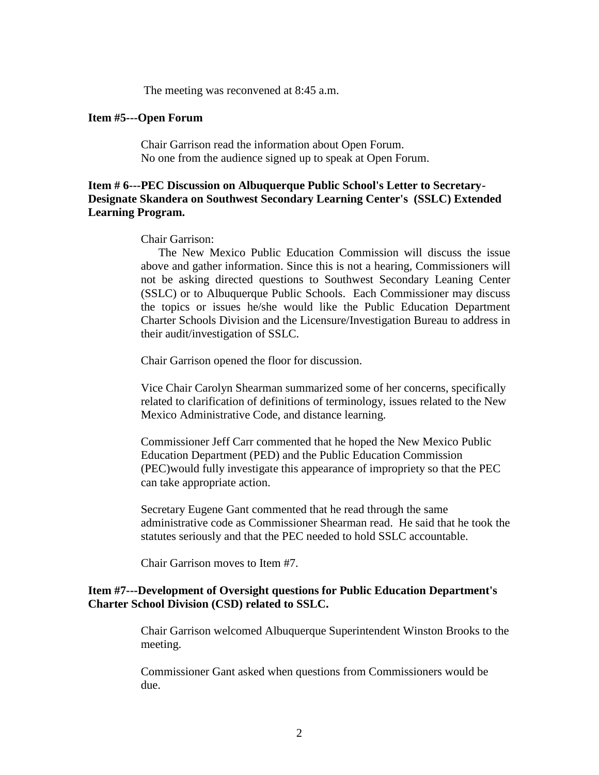The meeting was reconvened at 8:45 a.m.

#### **Item #5---Open Forum**

Chair Garrison read the information about Open Forum. No one from the audience signed up to speak at Open Forum.

# **Item # 6---PEC Discussion on Albuquerque Public School's Letter to Secretary-Designate Skandera on Southwest Secondary Learning Center's (SSLC) Extended Learning Program.**

#### Chair Garrison:

 The New Mexico Public Education Commission will discuss the issue above and gather information. Since this is not a hearing, Commissioners will not be asking directed questions to Southwest Secondary Leaning Center (SSLC) or to Albuquerque Public Schools. Each Commissioner may discuss the topics or issues he/she would like the Public Education Department Charter Schools Division and the Licensure/Investigation Bureau to address in their audit/investigation of SSLC.

Chair Garrison opened the floor for discussion.

Vice Chair Carolyn Shearman summarized some of her concerns, specifically related to clarification of definitions of terminology, issues related to the New Mexico Administrative Code, and distance learning.

Commissioner Jeff Carr commented that he hoped the New Mexico Public Education Department (PED) and the Public Education Commission (PEC)would fully investigate this appearance of impropriety so that the PEC can take appropriate action.

Secretary Eugene Gant commented that he read through the same administrative code as Commissioner Shearman read. He said that he took the statutes seriously and that the PEC needed to hold SSLC accountable.

Chair Garrison moves to Item #7.

#### **Item #7---Development of Oversight questions for Public Education Department's Charter School Division (CSD) related to SSLC.**

Chair Garrison welcomed Albuquerque Superintendent Winston Brooks to the meeting.

Commissioner Gant asked when questions from Commissioners would be due.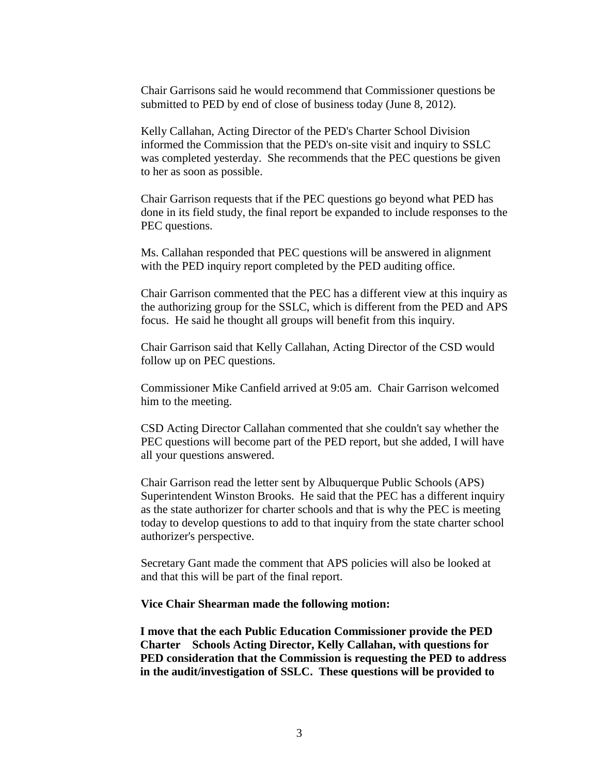Chair Garrisons said he would recommend that Commissioner questions be submitted to PED by end of close of business today (June 8, 2012).

Kelly Callahan, Acting Director of the PED's Charter School Division informed the Commission that the PED's on-site visit and inquiry to SSLC was completed yesterday. She recommends that the PEC questions be given to her as soon as possible.

Chair Garrison requests that if the PEC questions go beyond what PED has done in its field study, the final report be expanded to include responses to the PEC questions.

Ms. Callahan responded that PEC questions will be answered in alignment with the PED inquiry report completed by the PED auditing office.

Chair Garrison commented that the PEC has a different view at this inquiry as the authorizing group for the SSLC, which is different from the PED and APS focus. He said he thought all groups will benefit from this inquiry.

Chair Garrison said that Kelly Callahan, Acting Director of the CSD would follow up on PEC questions.

Commissioner Mike Canfield arrived at 9:05 am. Chair Garrison welcomed him to the meeting.

CSD Acting Director Callahan commented that she couldn't say whether the PEC questions will become part of the PED report, but she added, I will have all your questions answered.

Chair Garrison read the letter sent by Albuquerque Public Schools (APS) Superintendent Winston Brooks. He said that the PEC has a different inquiry as the state authorizer for charter schools and that is why the PEC is meeting today to develop questions to add to that inquiry from the state charter school authorizer's perspective.

Secretary Gant made the comment that APS policies will also be looked at and that this will be part of the final report.

#### **Vice Chair Shearman made the following motion:**

**I move that the each Public Education Commissioner provide the PED Charter Schools Acting Director, Kelly Callahan, with questions for PED consideration that the Commission is requesting the PED to address in the audit/investigation of SSLC. These questions will be provided to**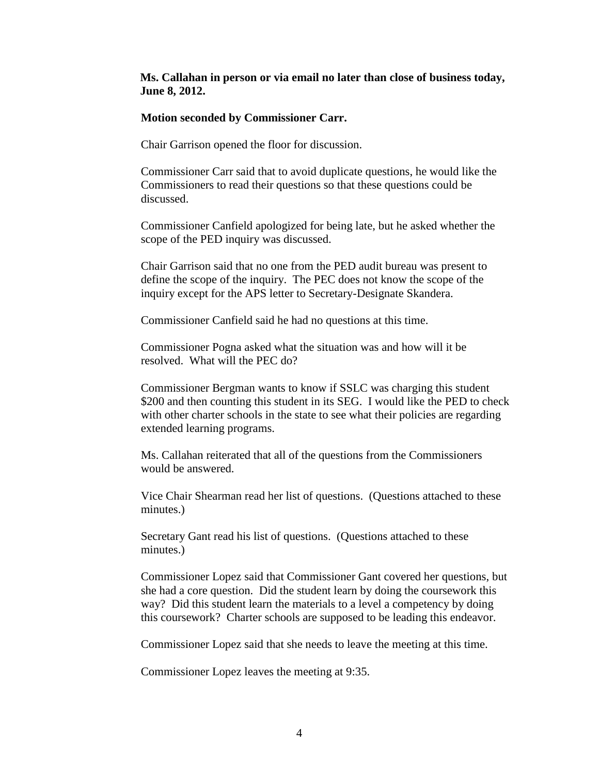# **Ms. Callahan in person or via email no later than close of business today, June 8, 2012.**

#### **Motion seconded by Commissioner Carr.**

Chair Garrison opened the floor for discussion.

Commissioner Carr said that to avoid duplicate questions, he would like the Commissioners to read their questions so that these questions could be discussed.

Commissioner Canfield apologized for being late, but he asked whether the scope of the PED inquiry was discussed.

Chair Garrison said that no one from the PED audit bureau was present to define the scope of the inquiry. The PEC does not know the scope of the inquiry except for the APS letter to Secretary-Designate Skandera.

Commissioner Canfield said he had no questions at this time.

Commissioner Pogna asked what the situation was and how will it be resolved. What will the PEC do?

Commissioner Bergman wants to know if SSLC was charging this student \$200 and then counting this student in its SEG. I would like the PED to check with other charter schools in the state to see what their policies are regarding extended learning programs.

Ms. Callahan reiterated that all of the questions from the Commissioners would be answered.

Vice Chair Shearman read her list of questions. (Questions attached to these minutes.)

Secretary Gant read his list of questions. (Questions attached to these minutes.)

Commissioner Lopez said that Commissioner Gant covered her questions, but she had a core question. Did the student learn by doing the coursework this way? Did this student learn the materials to a level a competency by doing this coursework? Charter schools are supposed to be leading this endeavor.

Commissioner Lopez said that she needs to leave the meeting at this time.

Commissioner Lopez leaves the meeting at 9:35.